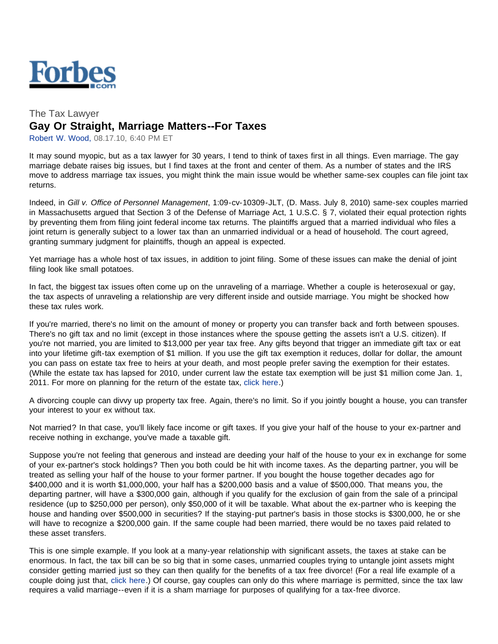

## The Tax Lawyer **Gay Or Straight, Marriage Matters--For Taxes**

Robert W. Wood, 08.17.10, 6:40 PM ET

It may sound myopic, but as a tax lawyer for 30 years, I tend to think of taxes first in all things. Even marriage. The gay marriage debate raises big issues, but I find taxes at the front and center of them. As a number of states and the IRS move to address marriage tax issues, you might think the main issue would be whether same-sex couples can file joint tax returns.

Indeed, in *Gill v. Office of Personnel Management*, 1:09-cv-10309-JLT, (D. Mass. July 8, 2010) same-sex couples married in Massachusetts argued that Section 3 of the Defense of Marriage Act, 1 U.S.C. § 7, violated their equal protection rights by preventing them from filing joint federal income tax returns. The plaintiffs argued that a married individual who files a joint return is generally subject to a lower tax than an unmarried individual or a head of household. The court agreed, granting summary judgment for plaintiffs, though an appeal is expected.

Yet marriage has a whole host of tax issues, in addition to joint filing. Some of these issues can make the denial of joint filing look like small potatoes.

In fact, the biggest tax issues often come up on the unraveling of a marriage. Whether a couple is heterosexual or gay, the tax aspects of unraveling a relationship are very different inside and outside marriage. You might be shocked how these tax rules work.

If you're married, there's no limit on the amount of money or property you can transfer back and forth between spouses. There's no gift tax and no limit (except in those instances where the spouse getting the assets isn't a U.S. citizen). If you're not married, you are limited to \$13,000 per year tax free. Any gifts beyond that trigger an immediate gift tax or eat into your lifetime gift-tax exemption of \$1 million. If you use the gift tax exemption it reduces, dollar for dollar, the amount you can pass on estate tax free to heirs at your death, and most people prefer saving the exemption for their estates. (While the estate tax has lapsed for 2010, under current law the estate tax exemption will be just \$1 million come Jan. 1, 2011. For more on planning for the return of the estate tax, [click here.](http://www.forbes.com/forbes/2010/0628/investment-guide-gift-tax-roth-ira-prepare-for-estate-tax-return.html))

A divorcing couple can divvy up property tax free. Again, there's no limit. So if you jointly bought a house, you can transfer your interest to your ex without tax.

Not married? In that case, you'll likely face income or gift taxes. If you give your half of the house to your ex-partner and receive nothing in exchange, you've made a taxable gift.

Suppose you're not feeling that generous and instead are deeding your half of the house to your ex in exchange for some of your ex-partner's stock holdings? Then you both could be hit with income taxes. As the departing partner, you will be treated as selling your half of the house to your former partner. If you bought the house together decades ago for \$400,000 and it is worth \$1,000,000, your half has a \$200,000 basis and a value of \$500,000. That means you, the departing partner, will have a \$300,000 gain, although if you qualify for the exclusion of gain from the sale of a principal residence (up to \$250,000 per person), only \$50,000 of it will be taxable. What about the ex-partner who is keeping the house and handing over \$500,000 in securities? If the staying-put partner's basis in those stocks is \$300,000, he or she will have to recognize a \$200,000 gain. If the same couple had been married, there would be no taxes paid related to these asset transfers.

This is one simple example. If you look at a many-year relationship with significant assets, the taxes at stake can be enormous. In fact, the tax bill can be so big that in some cases, unmarried couples trying to untangle joint assets might consider getting married just so they can then qualify for the benefits of a tax free divorce! (For a real life example of a couple doing just that, [click here.](http://www.forbes.com/2010/06/09/tax-tales-irs-sex-marriage-wrongful-imprisonment-personal-finance-robert-wood.html)) Of course, gay couples can only do this where marriage is permitted, since the tax law requires a valid marriage--even if it is a sham marriage for purposes of qualifying for a tax-free divorce.